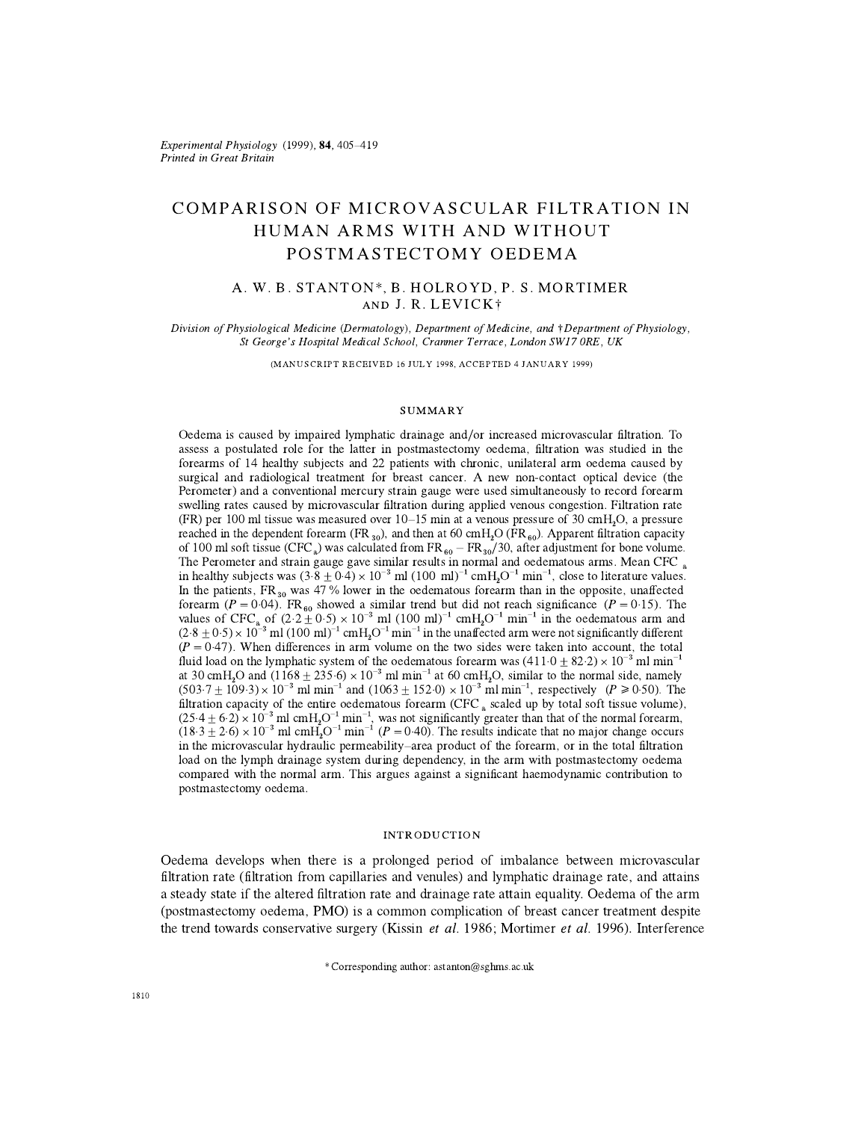Experimental Physiology (1999),  $84,405-419$ Printed in Great Britain

# COMPARISON OF MICROVASCULAR FILTRATION IN HUMAN ARMS WITH AND WITHOUT POSTMASTECTOMY OEDEMA

# A. W. B. STANTON\*, B. HOLROYD, P. S. MORTIMER and J. R. LEVICK

Division of Physiological Medicine (Dermatology), Department of Medicine, and † Department of Physiology, St George's Hospital Medical School, Cranmer Terrace, London SW17 ORE, UK

(MANUSCRIPT RECEIVED 16 JULY 1998, ACCEPTED 4 JANUARY 1999)

## **SUMMARY**

Oedema is caused by impaired lymphatic drainage and/or increased microvascular filtration. To assess a postulated role for the latter in postmastectomy oedema, filtration was studied in the forearms of 14 healthy subjects and 22 patients with chronic, unilateral arm oedema caused by surgical and radiological treatment for breast cancer. A new non-contact optical device (the Perometer) and a conventional mercury strain gauge were used simultaneously to record forearm swelling rates caused by microvascular filtration during applied venous congestion. Filtration rate (FR) per 100 ml tissue was measured over  $10-15$  min at a venous pressure of 30 cmH<sub>2</sub>O, a pressure reached in the dependent forearm (FR<sub>30</sub>), and then at 60 cmH<sub>2</sub>O (FR<sub>60</sub>). Apparent filtration capacity of 100 ml soft tissue (CFC<sub>a</sub>) was calculated from FR<sub>60</sub> – FR<sub>30</sub>/30, after adjustment for bone volume.<br>The Perometer and strain gauge gave similar results in normal and oedematous arms. Mean CFC <sub>a</sub> in healthy subjects was  $(3.8 \pm 0.4) \times 10^{-3}$  ml  $(100 \text{ ml})^{-1}$  cmH<sub>2</sub>O<sup>-1</sup> min<sup>-1</sup>, close to literature values. In the patients,  $FR_{30}$  was 47% lower in the oedematous forearm than in the opposite, unaffected forearm  $(P = 0.04)$ . FR<sub>60</sub> showed a similar trend but did not reach significance  $(P = 0.15)$ . The values of  $CFC_a$  of  $(2.2 \pm 0.5) \times 10^{-3}$  ml  $(100 \text{ ml})^{-1}$  cmH<sub>2</sub>O<sup>-1</sup> min<sup>-1</sup> in the oedematous arm and  $(2.8 \pm 0.5) \times 10^{-3}$  ml  $(100 \text{ ml})^{-1}$  cmH<sub>2</sub>O<sup>-1</sup> min<sup>-1</sup> in the unaffected arm wave not significantly different.  $(2.8 \pm 0.5) \times 10^{3}$  ml  $(100 \text{ ml})^{-1}$  cmH<sub>2</sub>O<sup>-1</sup> min<sup>-1</sup> in the unaffected arm were not significantly different  $(P = 0.47)$ . When differences in arm volume on the two sides were taken into account, the total fluid load on the lymphatic system of the oedematous forearm was  $(411.0 \pm 82.2) \times 10^{-3}$  ml min<sup>-1</sup> at 30 cmH<sub>2</sub>O and  $(1168 \pm 235.6) \times 10^{-3}$  ml min<sup>-1</sup> at 60 cmH<sub>2</sub>O, similar to the normal side, namely  $(503.7 \pm 109.3) \times 10^{-3}$  ml min<sup>-1</sup> and  $(1063 \pm 152.0) \times 10^{-3}$  ml min<sup>-1</sup>, respectively ( $P \ge 0.50$ ). The filtration capacity of the entire oedematous forearm (CFC <sub>a</sub> scaled up by total soft tissue volume),  $(25.4 \pm 6.2) \times 10^{-3}$  ml cmH<sub>2</sub>O<sup>-1</sup> min<sup>-1</sup>, was not significantly greater than that of the normal forearm,  $(18.3 \pm 2.6) \times 10^{-3}$  ml cmH<sub>2</sub>O<sup>-1</sup> min<sup>-1</sup> (P = 0.40). The results indicate that no major change occurs in the microvascular hydraulic permeability-area product of the forearm, or in the total filtration load on the lymph drainage system during dependency, in the arm with postmastectomy oedema compared with the normal arm. This argues against a significant haemodynamic contribution to postmastectomy oedema.

# **INTRODUCTION**

Oedema develops when there is a prolonged period of imbalance between microvascular filtration rate (filtration from capillaries and venules) and lymphatic drainage rate, and attains a steady state if the altered filtration rate and drainage rate attain equality. Oedema of the arm (postmastectomy oedema, PMO) is a common complication of breast cancer treatment despite the trend towards conservative surgery (Kissin et al. 1986; Mortimer et al. 1996). Interference

\*Corresponding author: astanton@sghms.ac.uk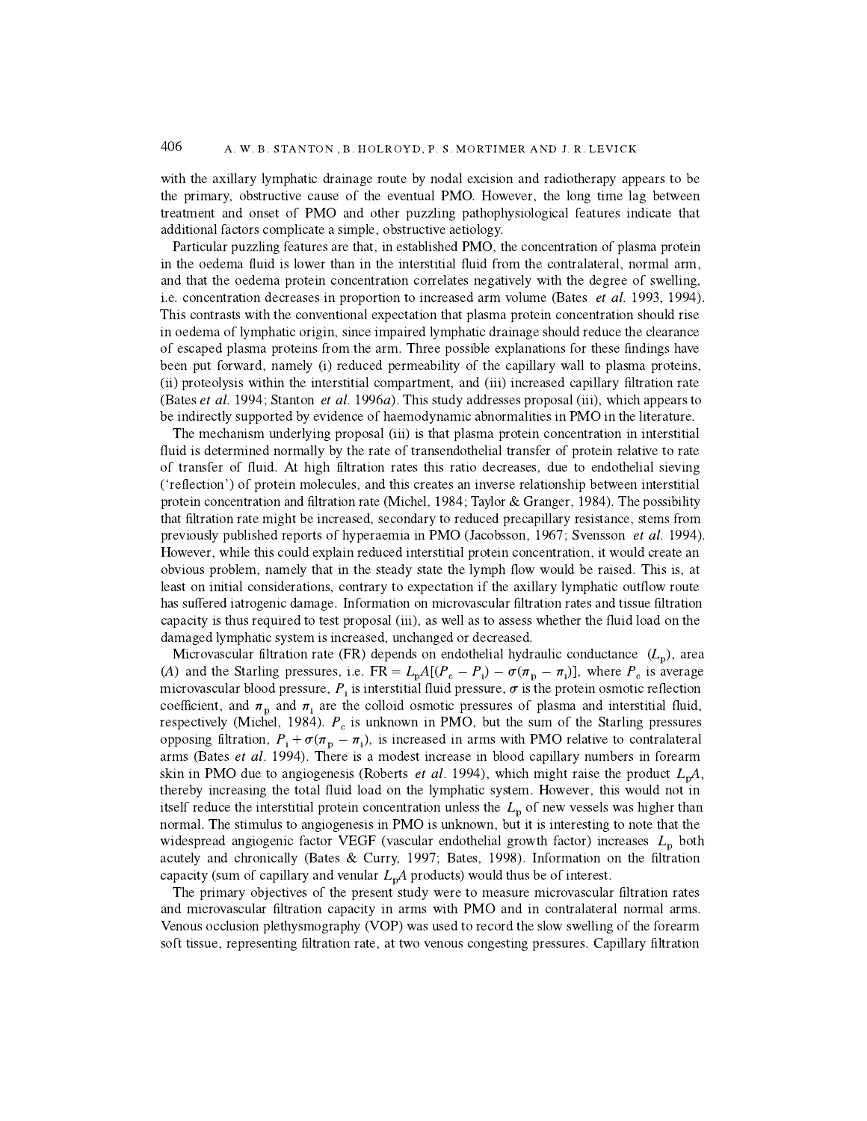with the axillary lymphatic drainage route by nodal excision and radiotherapy appears to be the primary, obstructive cause of the eventual PMO. However, the long time lag between treatment and onset of PMO and other puzzling pathophysiological features indicate that additional factors complicate a simple, obstructive aetiology.

Particular puzzling features are that, in established PMO, the concentration of plasma protein in the oedema fluid is lower than in the interstitial fluid from the contralateral, normal arm, and that the oedema protein concentration correlates negatively with the degree of swelling, i.e. concentration decreases in proportion to increased arm volume (Bates et al. 1993, 1994). This contrasts with the conventional expectation that plasma protein concentration should rise in oedema of lymphatic origin, since impaired lymphatic drainage should reduce the clearance of escaped plasma proteins from the arm. Three possible explanations for these findings have been put forward, namely (i) reduced permeability of the capillary wall to plasma proteins, (ii) proteolysis within the interstitial compartment, and (iii) increased capillary filtration rate (Bates et al. 1994; Stanton et al. 1996a). This study addresses proposal (iii), which appears to be indirectly supported by evidence of haemodynamic abnormalities in PMO in the literature.

The mechanism underlying proposal (iii) is that plasma protein concentration in interstitial fluid is determined normally by the rate of transendothelial transfer of protein relative to rate of transfer of fluid. At high filtration rates this ratio decreases, due to endothelial sieving (reflection) of protein molecules, and this creates an inverse relationship between interstitial protein concentration and filtration rate (Michel, 1984; Taylor & Granger, 1984). The possibility that filtration rate might be increased, secondary to reduced precapillary resistance, stems from previously published reports of hyperaemia in PMO (Jacobsson, 1967; Svensson et al. 1994). However, while this could explain reduced interstitial protein concentration, it would create an obvious problem, namely that in the steady state the lymph flow would be raised. This is, at least on initial considerations, contrary to expectation if the axillary lymphatic outflow route has suffered iatrogenic damage. Information on microvascular filtration rates and tissue filtration capacity is thus required to test proposal (iii), as well as to assess whether the fluid load on the damaged lymphatic system is increased, unchanged or decreased.

Microvascular filtration rate (FR) depends on endothelial hydraulic conductance  $(L_p)$ , area (A) and the Starling pressures, i.e.  $FR = L_pA[(P_c - P_i) - \sigma(\pi_p - \pi_i)]$ , where  $P_c$  is average microvascular blood pressure,  $P_i$  is interstitial fluid pressure,  $\sigma$  is the protein osmotic reflection coefficient, and  $\pi_{\rm p}$  and  $\pi_{\rm i}$  are the colloid osmotic pressures of plasma and interstitial fluid, respectively (Michel, 1984).  $P_e$  is unknown in PMO, but the sum of the Starling pressures opposing filtration,  $P_i + \sigma(\pi_p - \pi_i)$ , is increased in arms with PMO relative to contralateral arms (Bates et al. 1994). There is a modest increase in blood capillary numbers in forearm skin in PMO due to angiogenesis (Roberts *et al.* 1994), which might raise the product  $L<sub>n</sub>A$ , thereby increasing the total fluid load on the lymphatic system. However, this would not in itself reduce the interstitial protein concentration unless the  $L_p$  of new vessels was higher than normal. The stimulus to angiogenesis in PMO is unknown, but it is interesting to note that the widespread angiogenic factor VEGF (vascular endothelial growth factor) increases  $L_p$  both acutely and chronically (Bates & Curry, 1997; Bates, 1998). Information on the filtration capacity (sum of capillary and venular  $L_pA$  products) would thus be of interest.

The primary objectives of the present study were to measure microvascular filtration rates and microvascular filtration capacity in arms with PMO and in contralateral normal arms. Venous occlusion plethysmography (VOP) was used to record the slow swelling of the forearm soft tissue, representing filtration rate, at two venous congesting pressures. Capillary filtration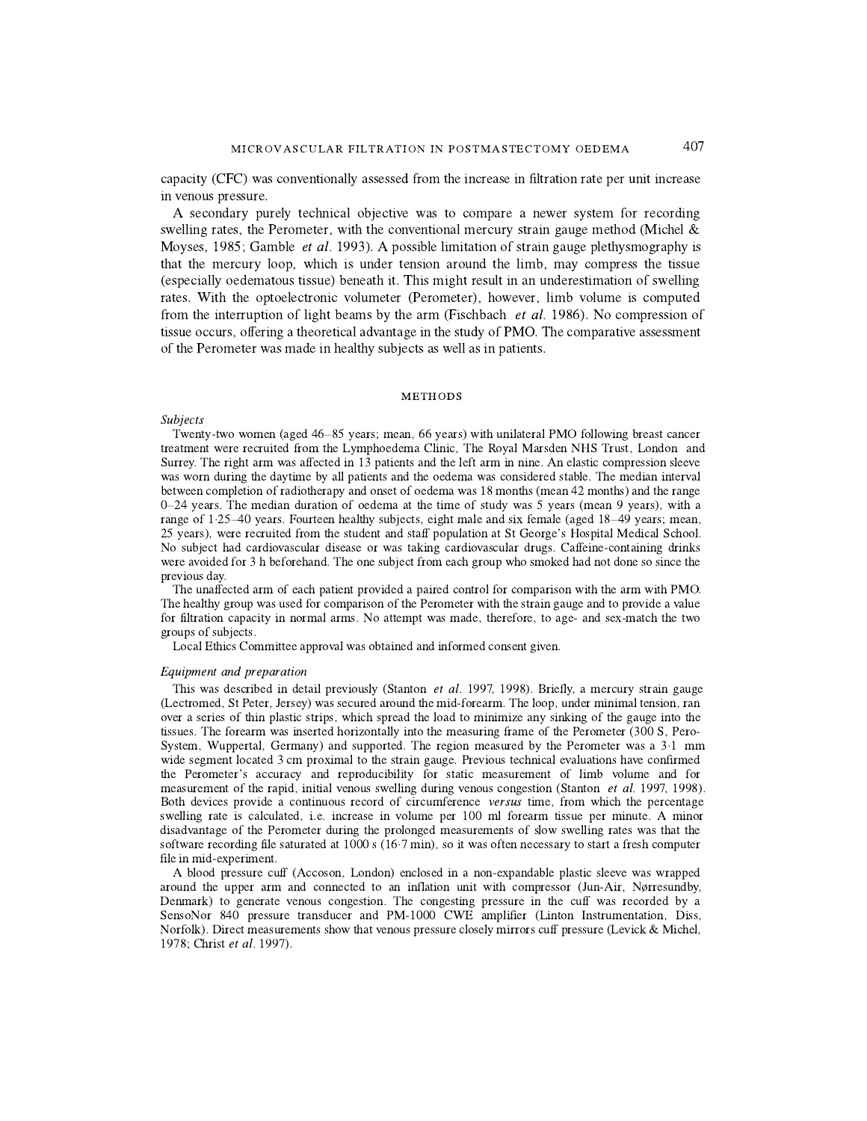capacity (CFC) was conventionally assessed from the increase in filtration rate per unit increase in venous pressure.

A secondary purely technical objective was to compare a newer system for recording swelling rates, the Perometer, with the conventional mercury strain gauge method (Michel  $\&$ Moyses, 1985; Gamble *et al.* 1993). A possible limitation of strain gauge plethysmography is that the mercury loop, which is under tension around the limb, may compress the tissue (especially oedematous tissue) beneath it. This might result in an underestimation of swelling rates. With the optoelectronic volumeter (Perometer), however, limb volume is computed from the interruption of light beams by the arm (Fischbach et al. 1986). No compression of tissue occurs, offering a theoretical advantage in the study of PMO. The comparative assessment of the Perometer was made in healthy subjects as well as in patients.

## methods

# Subjects

Twenty-two women (aged 46-85 years; mean, 66 years) with unilateral PMO following breast cancer treatment were recruited from the Lymphoedema Clinic, The Royal Marsden NHS Trust, London and Surrey. The right arm was affected in 13 patients and the left arm in nine. An elastic compression sleeve was worn during the daytime by all patients and the oedema was considered stable. The median interval between completion of radiotherapy and onset of oedema was 18 months (mean 42 months) and the range  $0-24$  years. The median duration of oedema at the time of study was 5 years (mean 9 years), with a range of  $1.25-40$  years. Fourteen healthy subjects, eight male and six female (aged  $18-49$  years; mean, 25 years), were recruited from the student and staff population at St George's Hospital Medical School. No subject had cardiovascular disease or was taking cardiovascular drugs. Caffeine-containing drinks were avoided for 3 h beforehand. The one subject from each group who smoked had not done so since the previous day.

The unaffected arm of each patient provided a paired control for comparison with the arm with PMO. The healthy group was used for comparison of the Perometer with the strain gauge and to provide a value for filtration capacity in normal arms. No attempt was made, therefore, to age- and sex-match the two groups of subjects.

Local Ethics Committee approval was obtained and informed consent given.

#### Equipment and preparation

This was described in detail previously (Stanton et al. 1997, 1998). Briefly, a mercury strain gauge (Lectromed, St Peter, Jersey) was secured around the mid-forearm. The loop, under minimal tension, ran over a series of thin plastic strips, which spread the load to minimize any sinking of the gauge into the tissues. The forearm was inserted horizontally into the measuring frame of the Perometer (300 S, Pero-System, Wuppertal, Germany) and supported. The region measured by the Perometer was a 3.1 mm wide segment located 3 cm proximal to the strain gauge. Previous technical evaluations have confirmed the Perometer's accuracy and reproducibility for static measurement of limb volume and for measurement of the rapid, initial venous swelling during venous congestion (Stanton et al. 1997, 1998). Both devices provide a continuous record of circumference versus time, from which the percentage swelling rate is calculated, i.e. increase in volume per 100 ml forearm tissue per minute. A minor disadvantage of the Perometer during the prolonged measurements of slow swelling rates was that the software recording file saturated at 1000 s (16·7 min), so it was often necessary to start a fresh computer file in mid-experiment.

A blood pressure cuff (Accoson, London) enclosed in a non-expandable plastic sleeve was wrapped around the upper arm and connected to an inflation unit with compressor (Jun-Air, Nørresundby, Denmark) to generate venous congestion. The congesting pressure in the cuff was recorded by a SensoNor 840 pressure transducer and PM-1000 CWE amplifier (Linton Instrumentation, Diss, Norfolk). Direct measurements show that venous pressure closely mirrors cuff pressure (Levick & Michel, 1978; Christ et al. 1997).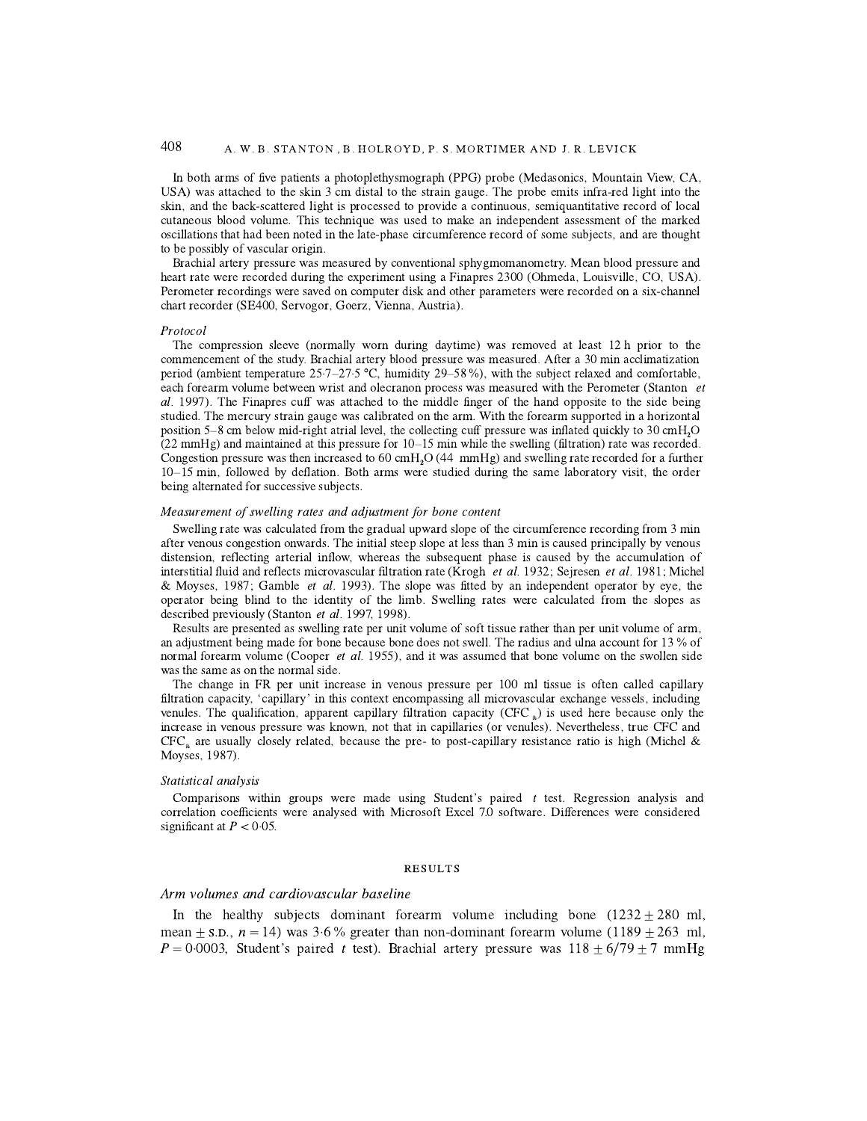# 408 A. W. B. STANTON , B. HOLROYD, P. S. MORTIMER AND J. R. LEVICK

In both arms of five patients a photoplethysmograph (PPG) probe (Medasonics, Mountain View, CA, USA) was attached to the skin 3 cm distal to the strain gauge. The probe emits infra-red light into the skin, and the back-scattered light is processed to provide a continuous, semiquantitative record of local cutaneous blood volume. This technique was used to make an independent assessment of the marked oscillations that had been noted in the late-phase circumference record of some subjects, and are thought to be possibly of vascular origin.

Brachial artery pressure was measured by conventional sphygmomanometry. Mean blood pressure and heart rate were recorded during the experiment using a Finapres 2300 (Ohmeda, Louisville, CO, USA). Perometer recordings were saved on computer disk and other parameters were recorded on a six-channel chart recorder (SE400, Servogor, Goerz, Vienna, Austria).

## Protocol

The compression sleeve (normally worn during daytime) was removed at least 12 h prior to the commencement of the study. Brachial artery blood pressure was measured. After a 30 min acclimatization period (ambient temperature  $25.7-27.5$  °C, humidity  $29-58$ %), with the subject relaxed and comfortable, each forearm volume between wrist and olecranon process was measured with the Perometer (Stanton et al. 1997). The Finapres cuff was attached to the middle finger of the hand opposite to the side being studied. The mercury strain gauge was calibrated on the arm. With the forearm supported in a horizontal position 5–8 cm below mid-right atrial level, the collecting cuff pressure was inflated quickly to 30 cmH<sub>0</sub>O  $(22 \text{ mmHg})$  and maintained at this pressure for  $10-15$  min while the swelling (filtration) rate was recorded. Congestion pressure was then increased to 60 cmH<sub>2</sub>O (44 mmHg) and swelling rate recorded for a further 10–15 min, followed by deflation. Both arms were studied during the same laboratory visit, the order being alternated for successive subjects.

## Measurement of swelling rates and adjustment for bone content

Swelling rate was calculated from the gradual upward slope of the circumference recording from 3 min after venous congestion onwards. The initial steep slope at less than 3 min is caused principally by venous distension, reflecting arterial inflow, whereas the subsequent phase is caused by the accumulation of interstitial fluid and reflects microvascular filtration rate (Krogh et al. 1932; Sejresen et al. 1981; Michel & Moyses, 1987; Gamble et al. 1993). The slope was fitted by an independent operator by eye, the operator being blind to the identity of the limb. Swelling rates were calculated from the slopes as described previously (Stanton et al. 1997, 1998).

Results are presented as swelling rate per unit volume of soft tissue rather than per unit volume of arm, an adjustment being made for bone because bone does not swell. The radius and ulna account for 13% of normal forearm volume (Cooper *et al.* 1955), and it was assumed that bone volume on the swollen side was the same as on the normal side.

The change in FR per unit increase in venous pressure per 100 ml tissue is often called capillary filtration capacity, 'capillary' in this context encompassing all microvascular exchange vessels, including venules. The qualification, apparent capillary filtration capacity (CFC  $_{a}$ ) is used here because only the increase in venous pressure was known, not that in capillaries (or venules). Nevertheless, true CFC and  $CFC<sub>a</sub>$  are usually closely related, because the pre- to post-capillary resistance ratio is high (Michel & Moyses, 1987).

#### Statistical analysis

Comparisons within groups were made using Student's paired  $t$  test. Regression analysis and correlation coefficients were analysed with Microsoft Excel 7.0 software. Differences were considered significant at  $P < 0.05$ .

#### results

## Arm volumes and cardiovascular baseline

In the healthy subjects dominant forearm volume including bone  $(1232 \pm 280 \text{ m})$ , mean  $\pm$  s.d.,  $n = 14$ ) was 3·6% greater than non-dominant forearm volume (1189  $\pm$  263 ml,  $P = 0.0003$ , Student's paired t test). Brachial artery pressure was  $118 \pm 6/79 \pm 7$  mmHg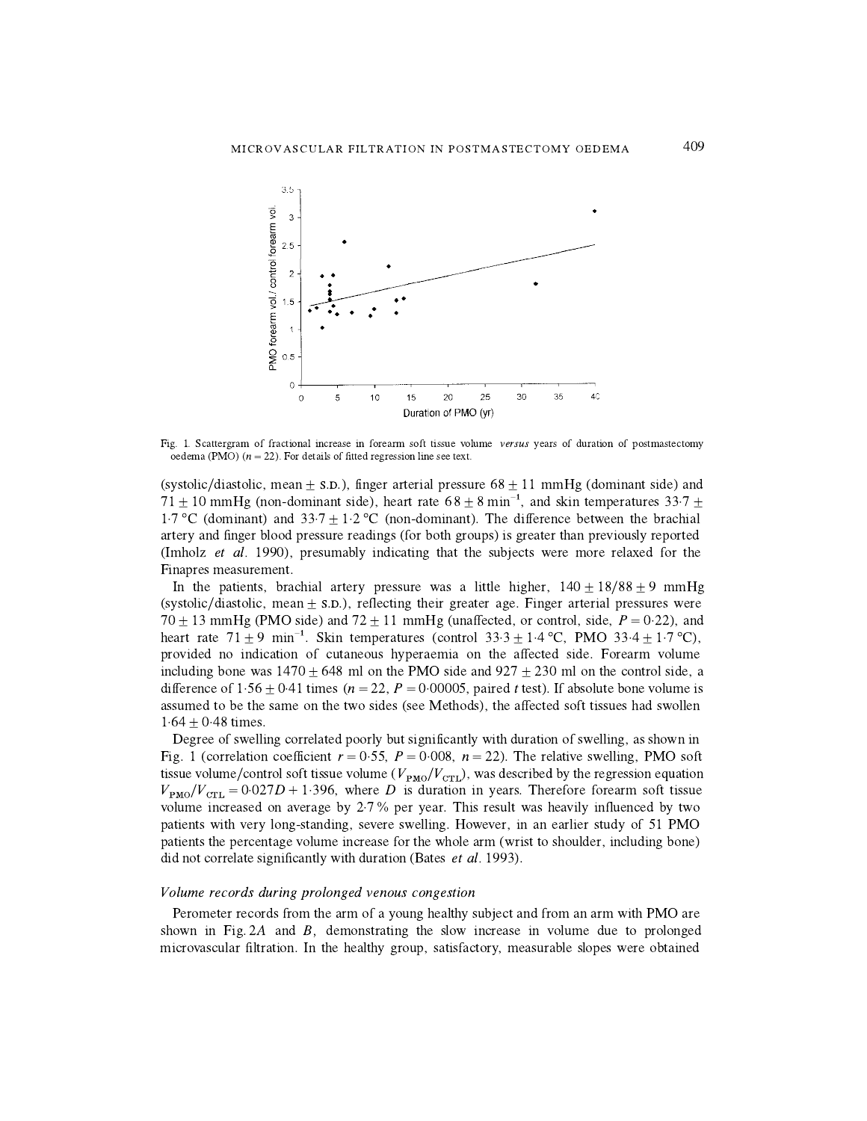

Fig. 1. Scattergram of fractional increase in forearm soft tissue volume versus years of duration of postmastectomy oedema (PMO)  $(n = 22)$ . For details of fitted regression line see text.

(systolic/diastolic, mean  $\pm$  s.D.), finger arterial pressure 68  $\pm$  11 mmHg (dominant side) and 71  $\pm$  10 mmHg (non-dominant side), heart rate 68  $\pm$  8 min<sup>-1</sup>, and skin temperatures 33·7  $\pm$ 1.7 °C (dominant) and  $33.7 \pm 1.2$  °C (non-dominant). The difference between the brachial artery and finger blood pressure readings (for both groups) is greater than previously reported (Imholz et al. 1990), presumably indicating that the subjects were more relaxed for the Finapres measurement.

In the patients, brachial artery pressure was a little higher,  $140 \pm 18/88 \pm 9$  mmHg (systolic/diastolic, mean  $\pm$  s.D.), reflecting their greater age. Finger arterial pressures were  $70 \pm 13$  mmHg (PMO side) and  $72 \pm 11$  mmHg (unaffected, or control, side,  $P = 0.22$ ), and heart rate 71  $\pm$  9 min<sup>-1</sup>. Skin temperatures (control 33.3  $\pm$  1.4 °C, PMO 33.4  $\pm$  1.7 °C), provided no indication of cutaneous hyperaemia on the affected side. Forearm volume including bone was  $1470 \pm 648$  ml on the PMO side and  $927 \pm 230$  ml on the control side, a difference of  $1.56 \pm 0.41$  times ( $n = 22$ ,  $P = 0.00005$ , paired t test). If absolute bone volume is assumed to be the same on the two sides (see Methods), the affected soft tissues had swollen  $1.64 \pm 0.48$  times.

Degree of swelling correlated poorly but significantly with duration of swelling, as shown in Fig. 1 (correlation coefficient  $r = 0.55$ ,  $P = 0.008$ ,  $n = 22$ ). The relative swelling, PMO soft tissue volume/control soft tissue volume ( $V_{PMO}/V_{\text{CTL}}$ ), was described by the regression equation  $V_{\text{PMO}}/V_{\text{CTL}} = 0.027D + 1.396$ , where D is duration in years. Therefore forearm soft tissue volume increased on average by 2·7% per year. This result was heavily influenced by two patients with very long-standing, severe swelling. However, in an earlier study of 51 PMO patients the percentage volume increase for the whole arm (wrist to shoulder, including bone) did not correlate significantly with duration (Bates et al. 1993).

#### Volume records during prolonged venous congestion

Perometer records from the arm of a young healthy subject and from an arm with PMO are shown in Fig.  $2A$  and B, demonstrating the slow increase in volume due to prolonged microvascular filtration. In the healthy group, satisfactory, measurable slopes were obtained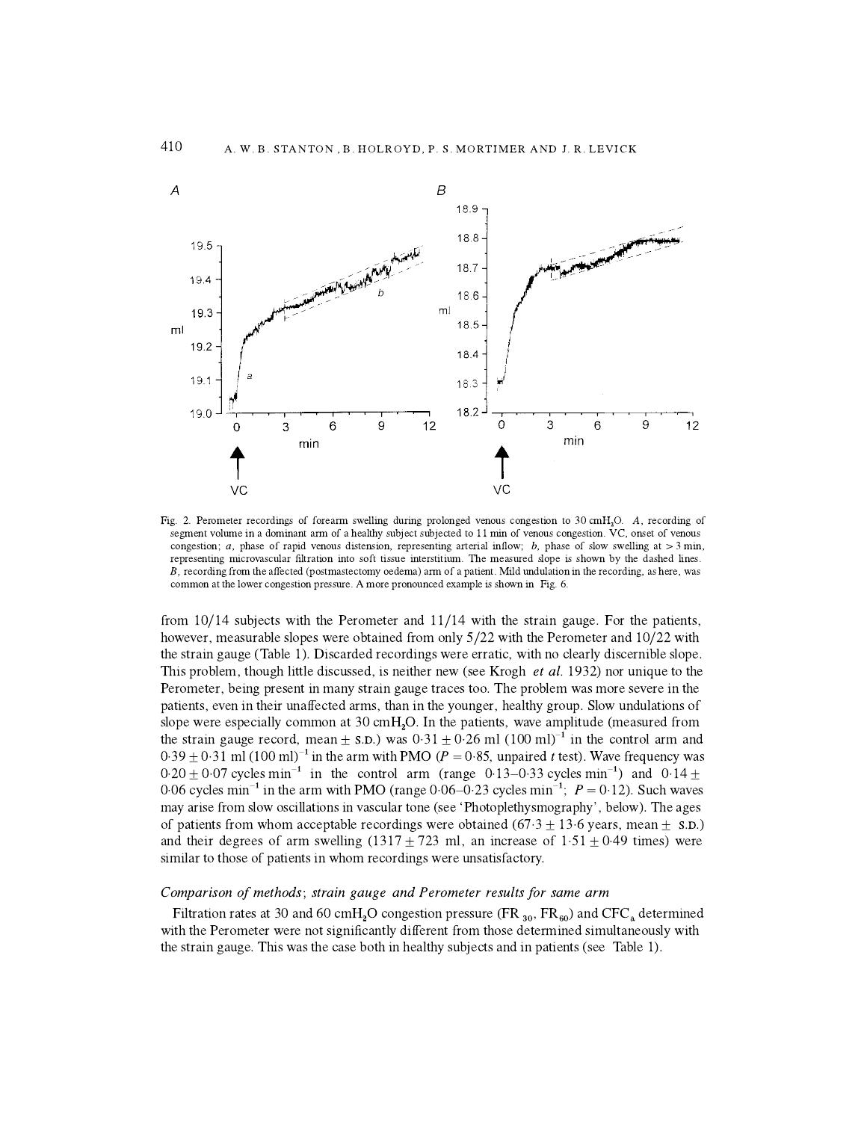

Fig. 2. Perometer recordings of forearm swelling during prolonged venous congestion to 30 cmH<sub>2</sub>O. A, recording of segment volume in a dominant arm of a healthy subject subjected to 11 min of venous congestion. VC, onset of venous congestion; a, phase of rapid venous distension, representing arterial inflow; b, phase of slow swelling at  $>$  3 min, representing microvascular filtration into soft tissue interstitium. The measured slope is shown by the dashed lines. B, recording from the affected (postmastectomy oedema) arm of a patient. Mild undulation in the recording, as here, was common at the lower congestion pressure. A more pronounced example is shown in Fig. 6.

from  $10/14$  subjects with the Perometer and  $11/14$  with the strain gauge. For the patients, however, measurable slopes were obtained from only  $5/22$  with the Perometer and  $10/22$  with the strain gauge (Table 1). Discarded recordings were erratic, with no clearly discernible slope. This problem, though little discussed, is neither new (see Krogh *et al.* 1932) nor unique to the Perometer, being present in many strain gauge traces too. The problem was more severe in the patients, even in their unaffected arms, than in the younger, healthy group. Slow undulations of slope were especially common at 30 cmH<sub>2</sub>O. In the patients, wave amplitude (measured from the strain gauge record, mean  $\pm$  s.D.) was  $0.31 \pm 0.26$  ml  $(100 \text{ ml})^{-1}$  in the control arm and  $0.39 \pm 0.31$  ml (100 ml)<sup>-1</sup> in the arm with PMO ( $P = 0.85$ , unpaired t test). Wave frequency was  $0.20 \pm 0.07$  cycles min<sup>-1</sup> in the control arm (range 0.13–0.33 cycles min<sup>-1</sup>) and  $0.14 \pm 1.0$ 0.06 cycles min<sup>-1</sup> in the arm with PMO (range 0.06–0.23 cycles min<sup>-1</sup>;  $P = 0.12$ ). Such waves may arise from slow oscillations in vascular tone (see 'Photoplethysmography', below). The ages of patients from whom acceptable recordings were obtained (67.3  $\pm$  13.6 years, mean  $\pm$  s.d.) and their degrees of arm swelling  $(1317 \pm 723 \text{ ml})$ , an increase of  $1.51 \pm 0.49$  times) were similar to those of patients in whom recordings were unsatisfactory.

### Comparison of methods; strain gauge and Perometer results for same arm

Filtration rates at 30 and 60 cmH<sub>2</sub>O congestion pressure (FR  $_{30}$ , FR<sub>60</sub>) and CFC<sub>a</sub> determined with the Perometer were not significantly different from those determined simultaneously with the strain gauge. This was the case both in healthy subjects and in patients (see Table 1).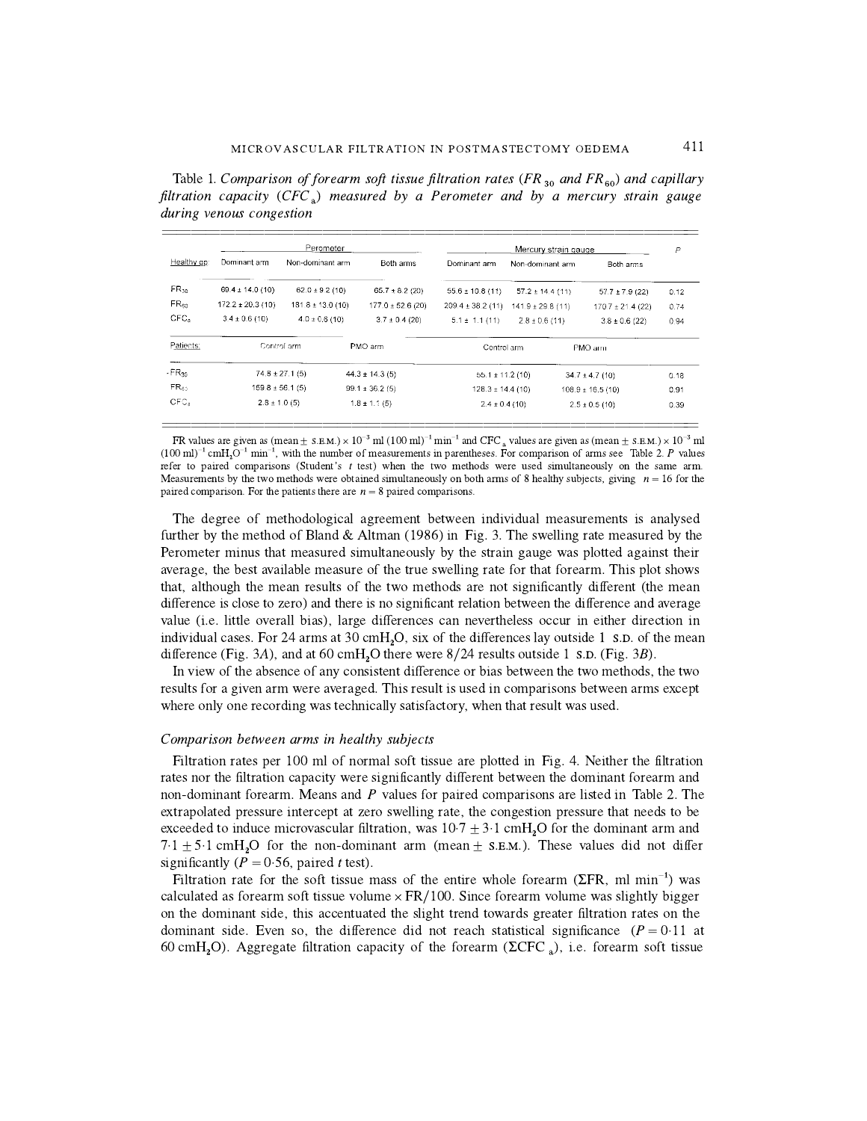Table 1. Comparison of forearm soft tissue filtration rates (FR  $_{30}$  and FR<sub>60</sub>) and capillary filtration capacity (CFC<sub>a</sub>) measured by a Perometer and by a mercury strain gauge during venous congestion

|                  |                     |                       | Perometer           |                        |                       | Mercury strain gauge  |                      | P    |
|------------------|---------------------|-----------------------|---------------------|------------------------|-----------------------|-----------------------|----------------------|------|
| Healthy gp:      | Dominant arm        | Non-dominant arm      |                     | Both arms              | Dominant arm          | Non-dominant arm      | Both arms            |      |
| FR <sub>30</sub> | $69.4 \pm 14.0(10)$ |                       | $62.0 \pm 9.2$ (10) | $65.7 \pm 8.2$ (20)    | $55.6 \pm 10.8$ (11)  | $57.2 \pm 14.4$ (11)  | $57.7 \pm 7.9$ (22)  | 0.12 |
| FR <sub>60</sub> | 172.2 ± 20.3 (10)   | $181.8 \pm 13.0$ (10) |                     | $177.0 \pm 52.6$ (20)  | $209.4 \pm 38.2$ (11) | $141.9 \pm 29.8$ (11) | $1707 \pm 21.4$ (22) | 0.74 |
| CFC <sub>n</sub> | $3.4 \pm 0.6$ (10)  | $4.0 \pm 0.6$ (10)    |                     | $3.7 \pm 0.4$ (20)     | $5.1 \pm 1.1(11)$     | $2.8 \pm 0.6$ (11)    | $3.8 \pm 0.6$ (22)   | 0.94 |
| Patients:        |                     | Control arm           |                     | PMO arm<br>Control arm |                       |                       | PMO arm              |      |
| $-FR_{30}$       | $74.8 \pm 27.1(5)$  |                       | $44.3 \pm 14.3$ (5) |                        | $55.1 \pm 11.2$ (10)  |                       | $34.7 \pm 4.7$ (10)  |      |
| $FR_{60}$        | $159.8 \pm 56.1(5)$ |                       | $99.1 \pm 36.2(5)$  |                        | $128.3 \pm 14.4$ (10) |                       | 108.9 ± 16.5 (10)    |      |
| CFC <sub>a</sub> | $2.8 \pm 1.0(5)$    |                       |                     | $1.8 \pm 1.1$ (5)      | $2.4 \pm 0.4$ (10)    |                       | $2.5 \pm 0.5$ (10)   | 0.39 |

FR values are given as (mean  $\pm$  s.e.m.)  $\times$  10<sup>-3</sup> ml (100 ml)<sup>-1</sup> min<sup>-1</sup> and CFC<sub>a</sub> values are given as (mean  $\pm$  s.e.m.)  $\times$  10<sup>-3</sup> ml  $(100 \text{ ml})^{-1}$  cmH<sub>3</sub>O<sup>-1</sup> min<sup>-1</sup>, with the number of measurements in parentheses. For comparison of arms see Table 2. P values refer to paired comparisons (Student's  $t$  test) when the two methods were used simultaneously on the same arm. Measurements by the two methods were obtained simultaneously on both arms of 8 healthy subjects, giving  $n = 16$  for the paired comparison. For the patients there are  $n = 8$  paired comparisons.

The degree of methodological agreement between individual measurements is analysed further by the method of Bland & Altman (1986) in Fig. 3. The swelling rate measured by the Perometer minus that measured simultaneously by the strain gauge was plotted against their average, the best available measure of the true swelling rate for that forearm. This plot shows that, although the mean results of the two methods are not significantly different (the mean difference is close to zero) and there is no significant relation between the difference and average value (i.e. little overall bias), large differences can nevertheless occur in either direction in individual cases. For 24 arms at 30 cmH<sub>2</sub>O, six of the differences lay outside 1 s.D. of the mean difference (Fig. 3A), and at 60 cmH<sub>2</sub>O there were  $8/24$  results outside 1 s.D. (Fig. 3B).

In view of the absence of any consistent difference or bias between the two methods, the two results for a given arm were averaged. This result is used in comparisons between arms except where only one recording was technically satisfactory, when that result was used.

# Comparison between arms in healthy subjects

Filtration rates per 100 ml of normal soft tissue are plotted in Fig. 4. Neither the filtration rates nor the filtration capacity were significantly different between the dominant forearm and non-dominant forearm. Means and P values for paired comparisons are listed in Table 2. The extrapolated pressure intercept at zero swelling rate, the congestion pressure that needs to be exceeded to induce microvascular filtration, was  $10.7 \pm 3.1$  cmH<sub>2</sub>O for the dominant arm and 7.1  $\pm$  5.1 cmH<sub>2</sub>O for the non-dominant arm (mean  $\pm$  s.e.m.). These values did not differ significantly ( $P = 0.56$ , paired t test).

Filtration rate for the soft tissue mass of the entire whole forearm ( $\Sigma FR$ , ml min<sup>-1</sup>) was calculated as forearm soft tissue volume  $\times FR/100$ . Since forearm volume was slightly bigger on the dominant side, this accentuated the slight trend towards greater filtration rates on the dominant side. Even so, the difference did not reach statistical significance  $(P = 0.11$  at 60 cmH<sub>2</sub>O). Aggregate filtration capacity of the forearm ( $\Sigma$ CFC <sub>a</sub>), i.e. forearm soft tissue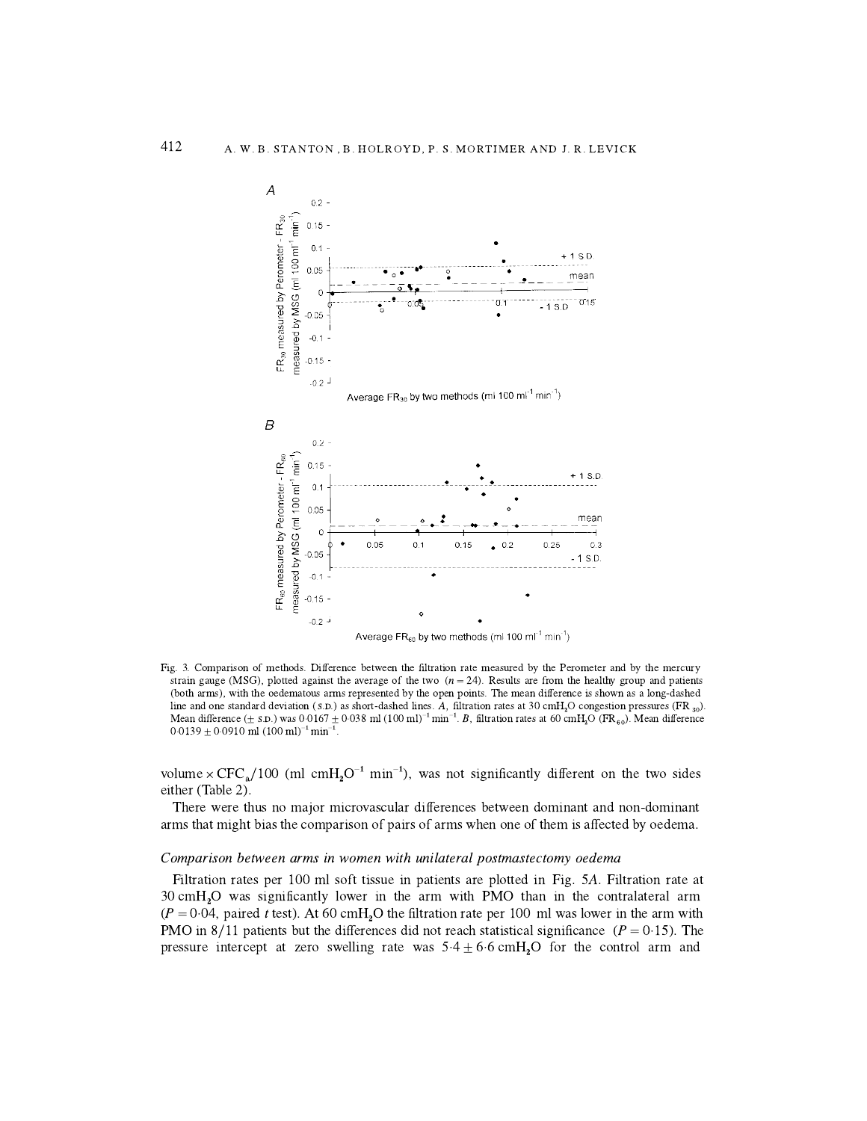

Fig. 3. Comparison of methods. Difference between the filtration rate measured by the Perometer and by the mercury strain gauge (MSG), plotted against the average of the two  $(n = 24)$ . Results are from the healthy group and patients (both arms), with the oedematous arms represented by the open points. The mean difference is shown as a long-dashed line and one standard deviation (s.p.) as short-dashed lines. A, filtration rates at 30 cmH<sub>2</sub>O congestion pressures (FR  $_{30}$ ). Mean difference ( $\pm$  s.d.) was 0·0167  $\pm$  0·038 ml (100 ml)<sup>-1</sup> min<sup>-1</sup>. B, filtration rates at 60 cmH<sub>2</sub>O (FR<sub>60</sub>). Mean difference 0·0139  $\pm$  0·0910 ml (100 ml)<sup>-1</sup> min<sup>-1</sup>.

volume  $\times$  CFC<sub>a</sub>/100 (ml cmH<sub>2</sub>O<sup>-1</sup> min<sup>-1</sup>), was not significantly different on the two sides either (Table 2).

There were thus no major microvascular differences between dominant and non-dominant arms that might bias the comparison of pairs of arms when one of them is affected by oedema.

### Comparison between arms in women with unilateral postmastectomy oedema

Filtration rates per 100 ml soft tissue in patients are plotted in Fig. 5A. Filtration rate at 30 cmHµO was significantly lower in the arm with PMO than in the contralateral arm  $(P = 0.04$ , paired t test). At 60 cmH<sub>2</sub>O the filtration rate per 100 ml was lower in the arm with PMO in 8/11 patients but the differences did not reach statistical significance ( $P = 0.15$ ). The pressure intercept at zero swelling rate was  $5.4 \pm 6.6$  cmH<sub>2</sub>O for the control arm and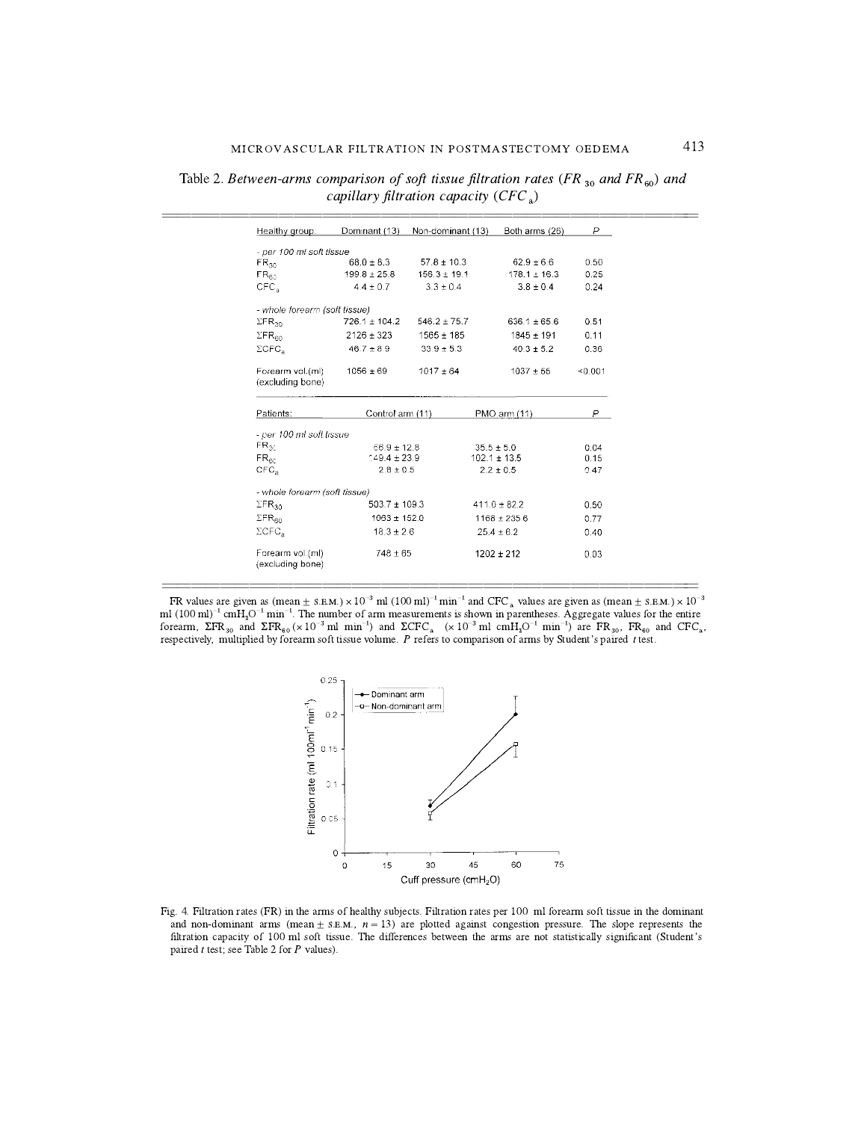| Healthy group:                       | Dominant (13)                 | Non-dominant (13) | Both arms (26)   | P       |  |  |  |
|--------------------------------------|-------------------------------|-------------------|------------------|---------|--|--|--|
| - per 100 ml soft tissue             |                               |                   |                  |         |  |  |  |
| $FR_{30}$                            | $68.0 \pm 8.3$                | $57.8 \pm 10.3$   | $62.9 \pm 6.6$   | 0.50    |  |  |  |
| FR <sub>60</sub>                     | $199.8 \pm 25.8$              | $156.3 \pm 19.1$  | $178.1 \pm 16.3$ | 0.25    |  |  |  |
| CFC <sub>a</sub>                     | $4.4 \pm 0.7$                 | $3.3 \pm 0.4$     | $3.8 \pm 0.4$    | 0.24    |  |  |  |
| - whole forearm (soft tissue)        |                               |                   |                  |         |  |  |  |
| $\Sigma$ FR <sub>30</sub>            | $726.1 \pm 104.2$             | $546.2 \pm 75.7$  | $636.1 \pm 65.6$ | 0.51    |  |  |  |
| $\Sigma$ FR <sub>an</sub>            | $2126 \pm 323$                | $1565 \pm 185$    | $1845 \pm 191$   | 0.11    |  |  |  |
| $\Sigma$ CFC <sub>a</sub>            | $46.7 \pm 8.9$                | $33.9 \pm 5.3$    | $40.3 \pm 5.2$   | 0.36    |  |  |  |
| Forearm vol.(ml)<br>(excluding bone) | $1056 \pm 69$                 | $1017 \pm 64$     | $1037 \pm 55$    | < 0.001 |  |  |  |
| Patients:                            | Control arm (11)              |                   | PMO arm (11)     | P       |  |  |  |
| - per 100 ml soft tissue             |                               |                   |                  |         |  |  |  |
| $FR_{30}$                            | $66.9 \pm 12.8$               |                   | $35.5 \pm 5.0$   | 0.04    |  |  |  |
| $FR_{60}$                            | $149.4 \pm 23.9$              |                   | $102.1 \pm 13.5$ | 0.15    |  |  |  |
| CFC <sub>a</sub>                     | $2.8 \pm 0.5$                 |                   | $2.2 \pm 0.5$    | 0.47    |  |  |  |
|                                      | - whole forearm (soft tissue) |                   |                  |         |  |  |  |
| $\Sigma$ FR <sub>30</sub>            | $503.7 \pm 109.3$             |                   | $411.0 \pm 82.2$ | 0.50    |  |  |  |
| $\Sigma$ FR <sub>60</sub>            | $1063 \pm 152.0$              |                   | $1168 \pm 235.6$ | 0.77    |  |  |  |
| $\Sigma$ CFC <sub>a</sub>            | $18.3 \pm 2.6$                |                   | $25.4 \pm 6.2$   | 0.40    |  |  |  |
| Forearm vol.(ml)<br>(excluding bone) | $748 \pm 65$                  |                   | $1202 \pm 212$   | 0.03    |  |  |  |

Table 2. Between-arms comparison of soft tissue filtration rates (FR  $_{30}$  and FR<sub>60</sub>) and capillary filtration capacity  $(CFC_a)$ 

 FR values are given as (mean  $\pm$  s.e.m.)  $\times$  10<sup>-3</sup> ml (100 ml)<sup>-1</sup> min<sup>-1</sup> and CFC<sub>a</sub> values are given as (mean  $\pm$  s.e.m.)  $\times$  10<sup>-3</sup> ml (100 ml)<sup>-1</sup> cmH<sub>2</sub>O<sup>-1</sup> min<sup>-1</sup>. The number of arm measurements is shown in parentheses. Aggregate values for the entire forearm,  $\SigmaFR_{30}$  and  $\SigmaFR_{60}$  ( $\times 10^{-3}$  ml min<sup>-1</sup>) and  $\Sigma CFC_a$  ( $\times 10^{-3}$  ml cmH<sub>2</sub>O<sup>-1</sup> min<sup>-1</sup>) are FR<sub>30</sub>, FR<sub>60</sub> and CFC<sub>a</sub>, respectively, multiplied by forearm soft tissue volume. P refers to comparison of arm



Fig. 4. Filtration rates (FR) in the arms of healthy subjects. Filtration rates per 100 ml forearm soft tissue in the dominant and non-dominant arms (mean  $\pm$  s.e.m.,  $n = 13$ ) are plotted against congestion pressure. The slope represents the filtration capacity of 100 ml soft tissue. The differences between the arms are not statistically significant (Student's paired  $t$  test; see Table 2 for  $P$  values).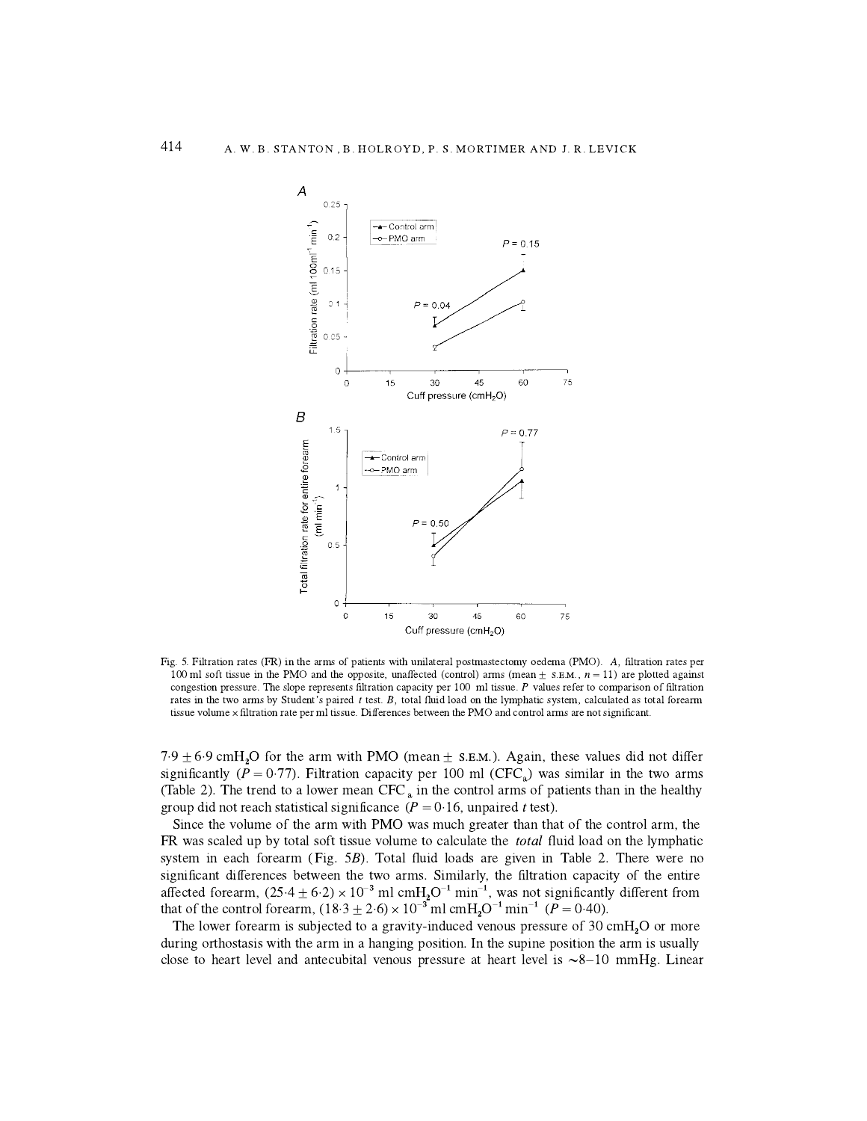

Fig. 5. Filtration rates (FR) in the arms of patients with unilateral postmastectomy oedema (PMO). A, filtration rates per 100 ml soft tissue in the PMO and the opposite, unaffected (control) arms (mean  $\pm$  s.e.m.,  $n = 11$ ) are plotted against congestion pressure. The slope represents filtration capacity per  $100 \text{ ml}$  tissue. P values refer to comparison of filtration rates in the two arms by Student's paired  $t$  test.  $B$ , total fluid load on the lymphatic system, calculated as total forearm tissue volume × filtration rate per ml tissue. Differences between the PMO and control arms are not significant.

7.9  $\pm$  6.9 cmH<sub>2</sub>O for the arm with PMO (mean  $\pm$  s.e.m.). Again, these values did not differ significantly ( $P = 0.77$ ). Filtration capacity per 100 ml (CFC<sub>a</sub>) was similar in the two arms (Table 2). The trend to a lower mean  $CFC_a$  in the control arms of patients than in the healthy group did not reach statistical significance ( $P = 0.16$ , unpaired t test).

Since the volume of the arm with PMO was much greater than that of the control arm, the FR was scaled up by total soft tissue volume to calculate the *total* fluid load on the lymphatic system in each forearm (Fig.  $5B$ ). Total fluid loads are given in Table 2. There were no significant differences between the two arms. Similarly, the filtration capacity of the entire affected forearm,  $(25.4 \pm 6.2) \times 10^{-3}$  ml cmH<sub>2</sub>O<sup>-1</sup> min<sup>-1</sup>, was not significantly different from that of the control forearm,  $(18.3 \pm 2.6) \times 10^{-3}$  ml cmH<sub>2</sub>O<sup>-1</sup> min<sup>-1</sup> (P = 0.40).

The lower forearm is subjected to a gravity-induced venous pressure of 30 cmH<sub>2</sub>O or more during orthostasis with the arm in a hanging position. In the supine position the arm is usually close to heart level and antecubital venous pressure at heart level is  $\sim 8-10$  mmHg. Linear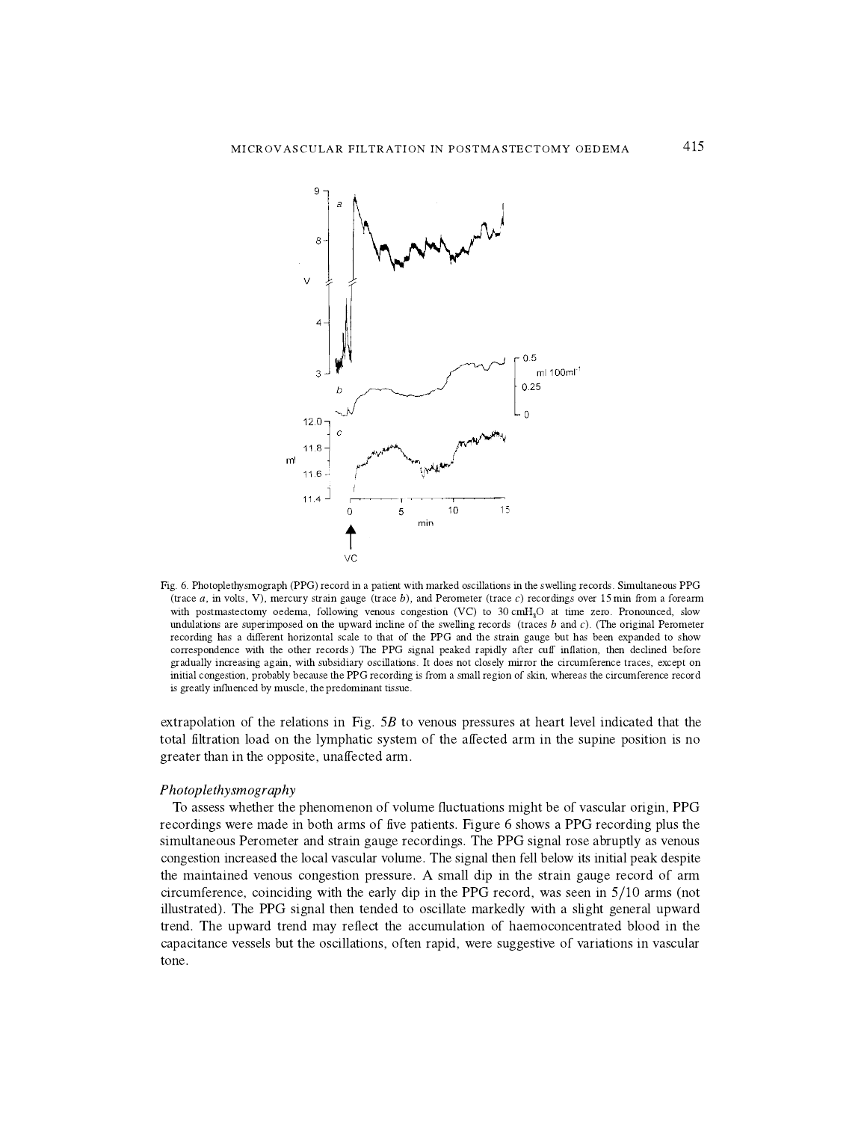

Fig. 6. Photoplethysmograph (PPG) record in a patient with marked oscillations in the swelling records. Simultaneous PPG (trace  $a$ , in volts, V), mercury strain gauge (trace  $b$ ), and Perometer (trace  $c$ ) recordings over 15 min from a forearm with postmastectomy oedema, following venous congestion (VC) to 30 cmH<sub>2</sub>O at time zero. Pronounced, slow undulations are superimposed on the upward incline of the swelling records (traces  $b$  and  $c$ ). (The original Perometer recording has a different horizontal scale to that of the PPG and the strain gauge but has been expanded to show correspondence with the other records.) The PPG signal peaked rapidly after cuff inflation, then declined before gradually increasing again, with subsidiary oscillations. It does not closely mirror the circumference traces, except on initial congestion, probably because the PPG recording is from a small region of skin, whereas the circumference record is greatly influenced by muscle, the predominant tissue.

extrapolation of the relations in Fig. 5B to venous pressures at heart level indicated that the total filtration load on the lymphatic system of the affected arm in the supine position is no greater than in the opposite, unaffected arm.

# Photoplethysmography

To assess whether the phenomenon of volume fluctuations might be of vascular origin, PPG recordings were made in both arms of five patients. Figure 6 shows a PPG recording plus the simultaneous Perometer and strain gauge recordings. The PPG signal rose abruptly as venous congestion increased the local vascular volume. The signal then fell below its initial peak despite the maintained venous congestion pressure. A small dip in the strain gauge record of arm circumference, coinciding with the early dip in the PPG record, was seen in  $5/10$  arms (not illustrated). The PPG signal then tended to oscillate markedly with a slight general upward trend. The upward trend may reflect the accumulation of haemoconcentrated blood in the capacitance vessels but the oscillations, often rapid, were suggestive of variations in vascular tone.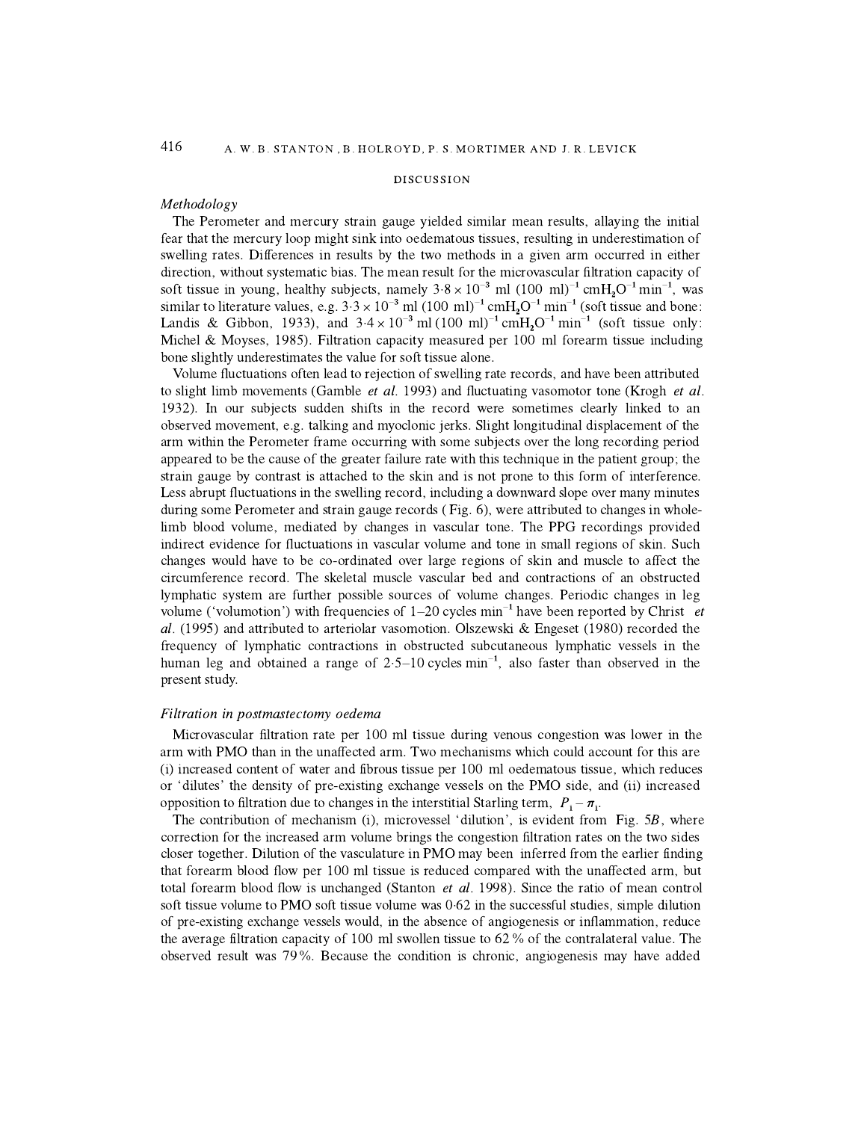# discussion

#### Methodology

The Perometer and mercury strain gauge yielded similar mean results, allaying the initial fear that the mercury loop might sink into oedematous tissues, resulting in underestimation of swelling rates. Differences in results by the two methods in a given arm occurred in either direction, without systematic bias. The mean result for the microvascular filtration capacity of soft tissue in young, healthy subjects, namely  $3.8 \times 10^{-3}$  ml (100 ml)<sup>-1</sup> cmH<sub>2</sub>O<sup>-1</sup> min<sup>-1</sup>, was similar to literature values, e.g.  $3.\overline{3} \times 10^{-3}$  ml (100 ml)<sup>-1</sup> cmH<sub>2</sub>O<sup>-1</sup> min<sup>-1</sup> (soft tissue and bone: Landis & Gibbon, 1933), and  $3.4 \times 10^{-3}$  ml  $(100 \text{ ml})^{-1}$  cmH<sub>2</sub>O<sup>-1</sup> min<sup>-1</sup> (soft tissue only: Michel & Moyses, 1985). Filtration capacity measured per 100 ml forearm tissue including bone slightly underestimates the value for soft tissue alone.

Volume fluctuations often lead to rejection of swelling rate records, and have been attributed to slight limb movements (Gamble *et al.* 1993) and fluctuating vasomotor tone (Krogh *et al.* 1932). In our subjects sudden shifts in the record were sometimes clearly linked to an observed movement, e.g. talking and myoclonic jerks. Slight longitudinal displacement of the arm within the Perometer frame occurring with some subjects over the long recording period appeared to be the cause of the greater failure rate with this technique in the patient group; the strain gauge by contrast is attached to the skin and is not prone to this form of interference. Less abrupt fluctuations in the swelling record, including a downward slope over many minutes during some Perometer and strain gauge records ( Fig. 6), were attributed to changes in wholelimb blood volume, mediated by changes in vascular tone. The PPG recordings provided indirect evidence for fluctuations in vascular volume and tone in small regions of skin. Such changes would have to be co-ordinated over large regions of skin and muscle to affect the circumference record. The skeletal muscle vascular bed and contractions of an obstructed lymphatic system are further possible sources of volume changes. Periodic changes in leg volume ('volumotion') with frequencies of  $1-20$  cycles min<sup>-1</sup> have been reported by Christ *et* al. (1995) and attributed to arteriolar vasomotion. Olszewski & Engeset (1980) recorded the frequency of lymphatic contractions in obstructed subcutaneous lymphatic vessels in the human leg and obtained a range of  $2.5-10$  cycles min<sup>-1</sup>, also faster than observed in the present study.

# Filtration in postmastectomy oedema

Microvascular filtration rate per 100 ml tissue during venous congestion was lower in the arm with PMO than in the unaffected arm. Two mechanisms which could account for this are (i) increased content of water and fibrous tissue per 100 ml oedematous tissue, which reduces or 'dilutes' the density of pre-existing exchange vessels on the PMO side, and (ii) increased opposition to filtration due to changes in the interstitial Starling term,  $P_i - \pi_i$ .

The contribution of mechanism (i), microvessel 'dilution', is evident from Fig.  $5B$ , where correction for the increased arm volume brings the congestion filtration rates on the two sides closer together. Dilution of the vasculature in PMO may been inferred from the earlier finding that forearm blood flow per 100 ml tissue is reduced compared with the unaffected arm, but total forearm blood flow is unchanged (Stanton *et al.* 1998). Since the ratio of mean control soft tissue volume to PMO soft tissue volume was 0·62 in the successful studies, simple dilution of pre-existing exchange vessels would, in the absence of angiogenesis or inflammation, reduce the average filtration capacity of 100 ml swollen tissue to 62% of the contralateral value. The observed result was 79%. Because the condition is chronic, angiogenesis may have added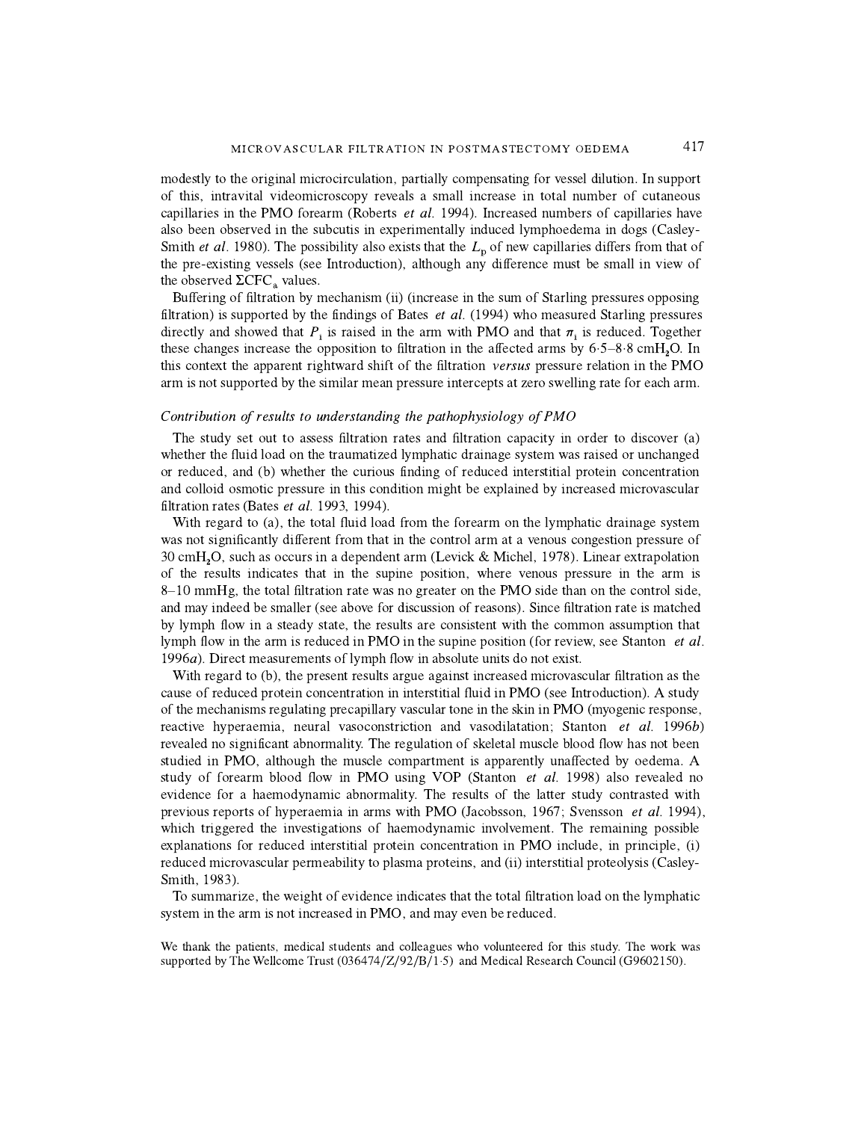modestly to the original microcirculation, partially compensating for vessel dilution. In support of this, intravital videomicroscopy reveals a small increase in total number of cutaneous capillaries in the PMO forearm (Roberts *et al.* 1994). Increased numbers of capillaries have also been observed in the subcutis in experimentally induced lymphoedema in dogs (Casley-Smith *et al.* 1980). The possibility also exists that the  $L_p$  of new capillaries differs from that of the pre-existing vessels (see Introduction), although any difference must be small in view of the observed  $\Sigma CFC_a$  values.

Buffering of filtration by mechanism (ii) (increase in the sum of Starling pressures opposing filtration) is supported by the findings of Bates *et al.* (1994) who measured Starling pressures directly and showed that  $P_i$  is raised in the arm with PMO and that  $\pi_i$  is reduced. Together these changes increase the opposition to filtration in the affected arms by  $6.5-8.8$  cmH<sub>2</sub>O. In this context the apparent rightward shift of the filtration versus pressure relation in the PMO arm is not supported by the similar mean pressure intercepts at zero swelling rate for each arm.

# Contribution of results to understanding the pathophysiology of PMO

The study set out to assess filtration rates and filtration capacity in order to discover (a) whether the fluid load on the traumatized lymphatic drainage system was raised or unchanged or reduced, and (b) whether the curious finding of reduced interstitial protein concentration and colloid osmotic pressure in this condition might be explained by increased microvascular filtration rates (Bates et al. 1993, 1994).

With regard to (a), the total fluid load from the forearm on the lymphatic drainage system was not significantly different from that in the control arm at a venous congestion pressure of 30 cmHµO, such as occurs in a dependent arm (Levick & Michel, 1978). Linear extrapolation of the results indicates that in the supine position, where venous pressure in the arm is  $8-10$  mmHg, the total filtration rate was no greater on the PMO side than on the control side, and may indeed be smaller (see above for discussion of reasons). Since filtration rate is matched by lymph flow in a steady state, the results are consistent with the common assumption that lymph flow in the arm is reduced in PMO in the supine position (for review, see Stanton *et al.*) 1996a). Direct measurements of lymph flow in absolute units do not exist.

With regard to (b), the present results argue against increased microvascular filtration as the cause of reduced protein concentration in interstitial fluid in PMO (see Introduction). A study of the mechanisms regulating precapillary vascular tone in the skin in PMO (myogenic response, reactive hyperaemia, neural vasoconstriction and vasodilatation; Stanton *et al.* 1996*b*) revealed no significant abnormality. The regulation of skeletal muscle blood flow has not been studied in PMO, although the muscle compartment is apparently unaffected by oedema. A study of forearm blood flow in PMO using VOP (Stanton et al. 1998) also revealed no evidence for a haemodynamic abnormality. The results of the latter study contrasted with previous reports of hyperaemia in arms with PMO (Jacobsson, 1967; Svensson et al. 1994), which triggered the investigations of haemodynamic involvement. The remaining possible explanations for reduced interstitial protein concentration in PMO include, in principle, (i) reduced microvascular permeability to plasma proteins, and (ii) interstitial proteolysis (Casley-Smith, 1983).

To summarize, the weight of evidence indicates that the total filtration load on the lymphatic system in the arm is not increased in PMO, and may even be reduced.

We thank the patients, medical students and colleagues who volunteered for this study. The work was supported by The Wellcome Trust  $(036474/Z/92/B/1.5)$  and Medical Research Council (G9602150).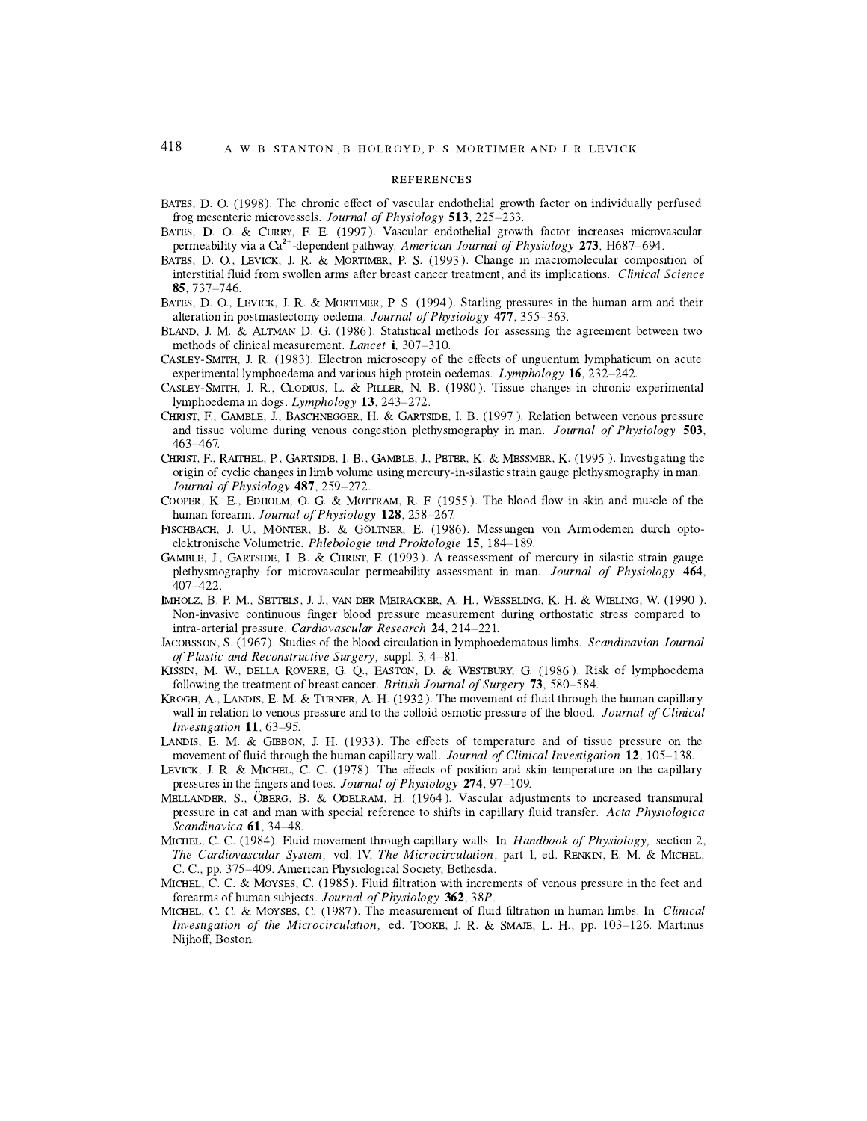#### **REFERENCES**

- Bates, D. O. (1998). The chronic effect of vascular endothelial growth factor on individually perfused frog mesenteric microvessels. Journal of Physiology 513, 225-233.
- BATES, D. O. & CURRY, F. E. (1997). Vascular endothelial growth factor increases microvascular permeability via a  $Ca^{2+}$ -dependent pathway. American Journal of Physiology 273, H687–694.
- Bates, D. O., Levick, J. R. & Mortimer, P. S. (1993 ). Change in macromolecular composition of interstitial fluid from swollen arms after breast cancer treatment, and its implications. Clinical Science 85, 737-746.
- BATES, D. O., LEVICK, J. R. & MORTIMER, P. S. (1994). Starling pressures in the human arm and their alteration in postmastectomy oedema. Journal of Physiology 477, 355–363.
- Bland, J. M. & Altman D. G. (1986 ). Statistical methods for assessing the agreement between two methods of clinical measurement. Lancet i,  $307-310$ .
- Casley-Smith, J. R. (1983). Electron microscopy of the effects of unguentum lymphaticum on acute experimental lymphoedema and various high protein oedemas. Lymphology 16, 232–242.
- Casley-Smith, J. R., Clodius, L. & Piller, N. B. (1980 ). Tissue changes in chronic experimental lymphoedema in dogs. Lymphology 13, 243–272.
- Christ, F., Gamble, J., Baschnegger, H. & Gartside, I. B. (1997 ). Relation between venous pressure and tissue volume during venous congestion plethysmography in man. Journal of Physiology 503, 463-467.
- Christ, F., Raithel, P., Gartside, I. B., Gamble, J., Peter, K. & Messmer, K. (1995 ). Investigating the origin of cyclic changes in limb volume using mercury-in-silastic strain gauge plethysmography in man. Journal of Physiology  $487, 259-272.$
- COOPER, K. E., EDHOLM, O. G. & MOTTRAM, R. F.  $(1955)$ . The blood flow in skin and muscle of the human forearm. Journal of Physiology 128, 258-267.
- FISCHBACH, J. U., MÖNTER, B. & GÖLTNER, E. (1986). Messungen von Armödemen durch opto- elektronische Volumetrie. Phlebologie und Proktologie 15, 184-189.
- GAMBLE, J., GARTSIDE, I. B. & CHRIST, F. (1993). A reassessment of mercury in silastic strain gauge plethysmography for microvascular permeability assessment in man. Journal of Physiology 464, 407-422.
- Imholz, B. P. M., Settels, J. J., van der Meiracker, A. H., Wesseling, K. H. & Wieling, W. (1990 ). Non-invasive continuous finger blood pressure measurement during orthostatic stress compared to intra-arterial pressure. Cardiovascular Research 24, 214-221.
- JACOBSSON, S. (1967). Studies of the blood circulation in lymphoedematous limbs. Scandinavian Journal of Plastic and Reconstructive Surgery, suppl. 3,  $4-81$ .
- Kissin, M. W., della Rovere, G. Q., Easton, D. & Westbury, G. (1986 ). Risk of lymphoedema following the treatment of breast cancer. British Journal of Surgery 73, 580–584.
- Krogh, A., Landis, E. M. & Turner, A. H. (1932 ). The movement of fluid through the human capillary wall in relation to venous pressure and to the colloid osmotic pressure of the blood. Journal of Clinical *Investigation* 11,  $63-95$ .
- LANDIS, E. M. & GIBBON, J. H. (1933). The effects of temperature and of tissue pressure on the movement of fluid through the human capillary wall. Journal of Clinical Investigation 12, 105-138.
- LEVICK, J. R. & MICHEL, C. C. (1978). The effects of position and skin temperature on the capillary pressures in the fingers and toes. Journal of Physiology  $274$ , 97–109.
- Mellander, S., Oberg, B. & Odelram, H. (1964 ). Vascular adjustments to increased transmural pressure in cat and man with special reference to shifts in capillary fluid transfer. Acta Physiologica Scandinavica 61, 34-48.
- MICHEL, C. C. (1984). Fluid movement through capillary walls. In *Handbook of Physiology*, section 2, The Cardiovascular System, vol. IV, The Microcirculation, part 1, ed. RENKIN, E. M. & MICHEL, C. C., pp. 375–409. American Physiological Society, Bethesda.
- Michel, C. C. & Moyses, C. (1985 ). Fluid filtration with increments of venous pressure in the feet and forearms of human subjects. Journal of Physiology 362, 38P.
- MICHEL, C. C. & MOYSES, C. (1987). The measurement of fluid filtration in human limbs. In Clinical Investigation of the Microcirculation, ed. TOOKE, J. R. & SMAJE, L. H., pp. 103-126. Martinus Nijhoff, Boston.